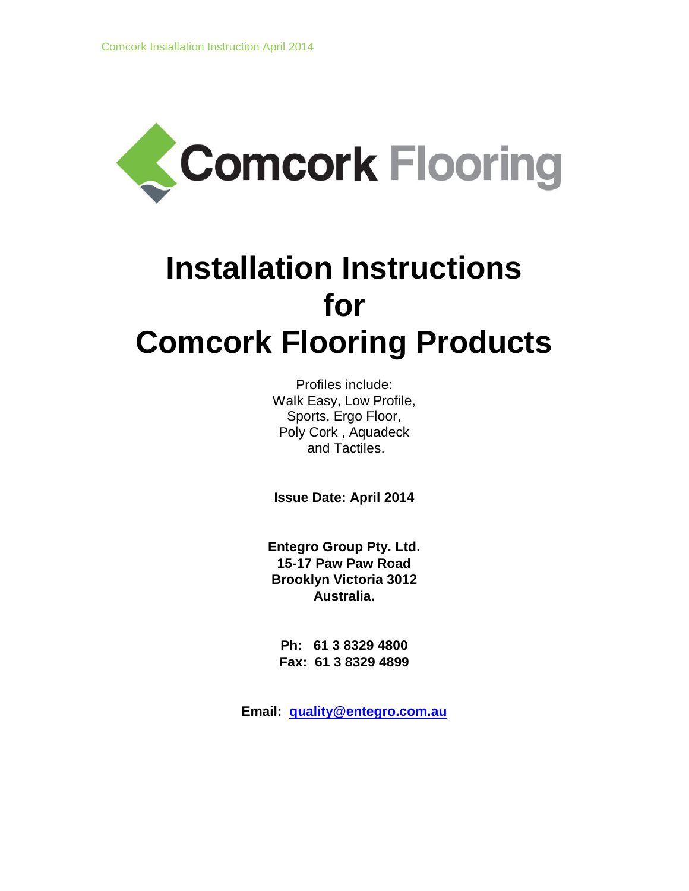

# **Installation Instructions for Comcork Flooring Products**

Profiles include: Walk Easy, Low Profile, Sports, Ergo Floor, Poly Cork , Aquadeck and Tactiles.

**Issue Date: April 2014**

**Entegro Group Pty. Ltd. 15-17 Paw Paw Road Brooklyn Victoria 3012 Australia.**

**Ph: 61 3 8329 4800 Fax: 61 3 8329 4899**

**Email: quality@entegro.com.au**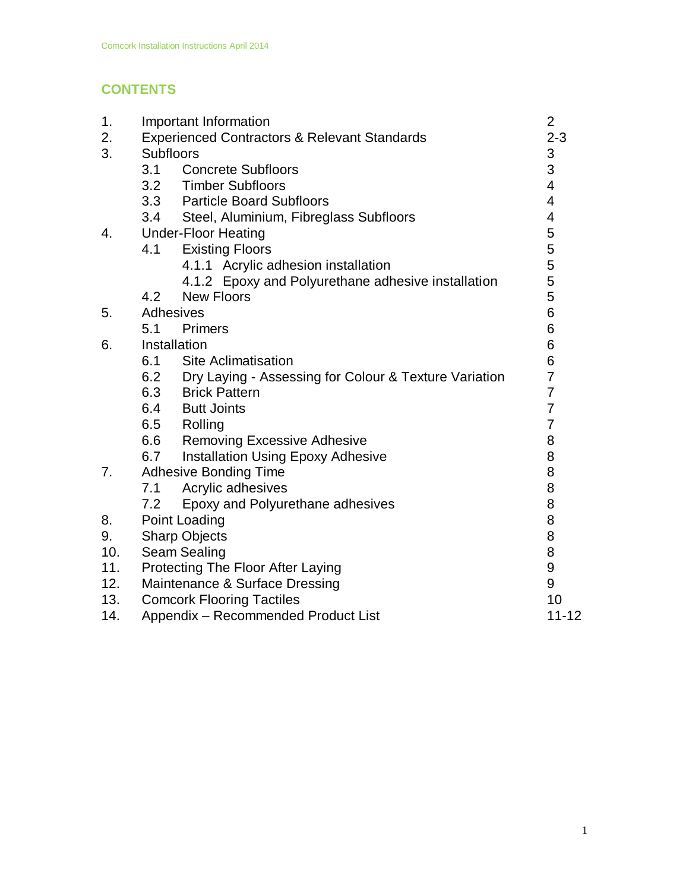# **CONTENTS**

| 1.  | Important Information                                   |                                                       | $\overline{2}$ |  |
|-----|---------------------------------------------------------|-------------------------------------------------------|----------------|--|
| 2.  | <b>Experienced Contractors &amp; Relevant Standards</b> |                                                       | $2 - 3$        |  |
| 3.  | <b>Subfloors</b>                                        |                                                       | 3              |  |
|     | 3.1                                                     | <b>Concrete Subfloors</b>                             | 3              |  |
|     | 3.2                                                     | <b>Timber Subfloors</b>                               |                |  |
|     | 3.3                                                     | <b>Particle Board Subfloors</b>                       |                |  |
|     | 3.4                                                     | Steel, Aluminium, Fibreglass Subfloors                |                |  |
| 4.  | <b>Under-Floor Heating</b>                              |                                                       | 5              |  |
|     | 4.1                                                     | <b>Existing Floors</b>                                | 5              |  |
|     |                                                         | 4.1.1 Acrylic adhesion installation                   | 5              |  |
|     |                                                         | 4.1.2 Epoxy and Polyurethane adhesive installation    |                |  |
|     | 4.2                                                     | <b>New Floors</b>                                     | 5              |  |
| 5.  | Adhesives                                               |                                                       | 6              |  |
|     | 5.1                                                     | <b>Primers</b>                                        | 6              |  |
| 6.  | Installation                                            |                                                       | 6              |  |
|     | 6.1                                                     | <b>Site Aclimatisation</b>                            | 6              |  |
|     | 6.2                                                     | Dry Laying - Assessing for Colour & Texture Variation |                |  |
|     | 6.3                                                     | <b>Brick Pattern</b>                                  |                |  |
|     | 6.4                                                     | <b>Butt Joints</b>                                    |                |  |
|     | 6.5                                                     | Rolling                                               |                |  |
|     | 6.6                                                     | <b>Removing Excessive Adhesive</b>                    | 8              |  |
|     | 6.7                                                     | <b>Installation Using Epoxy Adhesive</b>              | 8              |  |
| 7.  | <b>Adhesive Bonding Time</b>                            |                                                       | 8              |  |
|     | 7.1                                                     | Acrylic adhesives                                     | 8              |  |
|     | 7.2                                                     | Epoxy and Polyurethane adhesives                      | 8              |  |
| 8.  | <b>Point Loading</b>                                    |                                                       | 8              |  |
| 9.  | <b>Sharp Objects</b>                                    |                                                       | 8              |  |
| 10. | Seam Sealing                                            |                                                       | 8              |  |
| 11. | Protecting The Floor After Laying                       |                                                       | 9              |  |
| 12. |                                                         | Maintenance & Surface Dressing                        | 9              |  |
| 13. |                                                         | <b>Comcork Flooring Tactiles</b>                      | 10             |  |
| 14. |                                                         | Appendix - Recommended Product List                   | $11 - 12$      |  |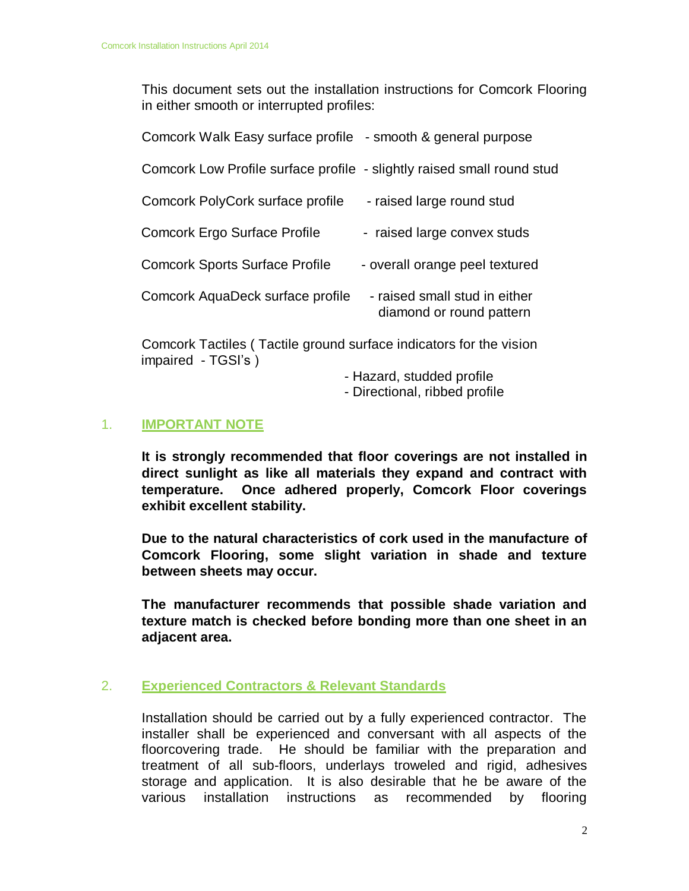This document sets out the installation instructions for Comcork Flooring in either smooth or interrupted profiles:

| Comcork Walk Easy surface profile - smooth & general purpose           |                                                           |
|------------------------------------------------------------------------|-----------------------------------------------------------|
| Comcork Low Profile surface profile - slightly raised small round stud |                                                           |
| Comcork PolyCork surface profile                                       | - raised large round stud                                 |
| <b>Comcork Ergo Surface Profile</b>                                    | - raised large convex studs                               |
| <b>Comcork Sports Surface Profile</b>                                  | - overall orange peel textured                            |
| Comcork AquaDeck surface profile                                       | - raised small stud in either<br>diamond or round pattern |

Comcork Tactiles ( Tactile ground surface indicators for the vision impaired - TGSI's )

- Hazard, studded profile

- Directional, ribbed profile

#### 1. **IMPORTANT NOTE**

**It is strongly recommended that floor coverings are not installed in direct sunlight as like all materials they expand and contract with temperature. Once adhered properly, Comcork Floor coverings exhibit excellent stability.**

**Due to the natural characteristics of cork used in the manufacture of Comcork Flooring, some slight variation in shade and texture between sheets may occur.** 

**The manufacturer recommends that possible shade variation and texture match is checked before bonding more than one sheet in an adjacent area.**

#### 2. **Experienced Contractors & Relevant Standards**

Installation should be carried out by a fully experienced contractor. The installer shall be experienced and conversant with all aspects of the floorcovering trade. He should be familiar with the preparation and treatment of all sub-floors, underlays troweled and rigid, adhesives storage and application. It is also desirable that he be aware of the various installation instructions as recommended by flooring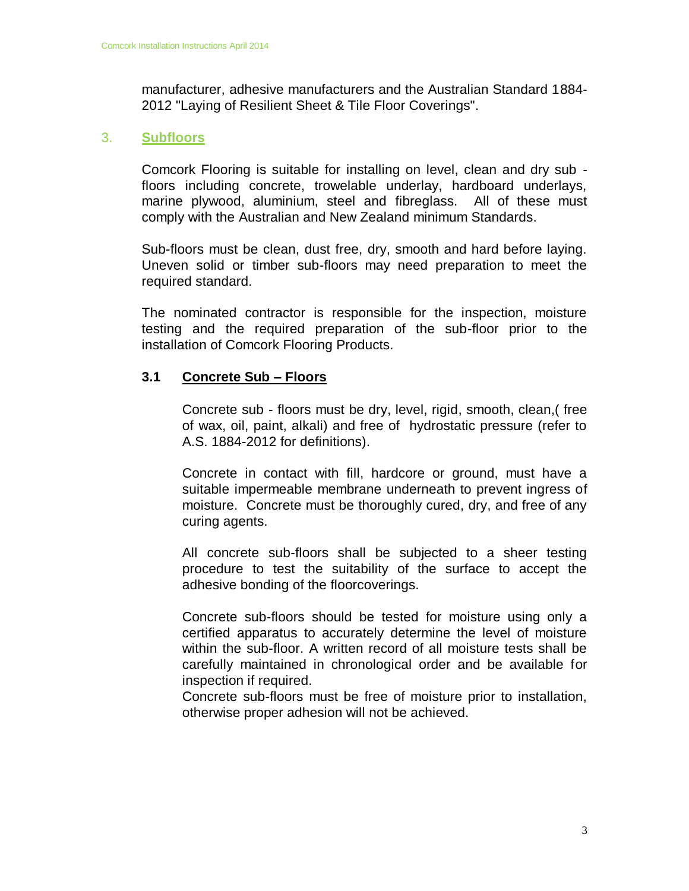manufacturer, adhesive manufacturers and the Australian Standard 1884- 2012 "Laying of Resilient Sheet & Tile Floor Coverings".

#### 3. **Subfloors**

Comcork Flooring is suitable for installing on level, clean and dry sub floors including concrete, trowelable underlay, hardboard underlays, marine plywood, aluminium, steel and fibreglass. All of these must comply with the Australian and New Zealand minimum Standards.

Sub-floors must be clean, dust free, dry, smooth and hard before laying. Uneven solid or timber sub-floors may need preparation to meet the required standard.

The nominated contractor is responsible for the inspection, moisture testing and the required preparation of the sub-floor prior to the installation of Comcork Flooring Products.

#### **3.1 Concrete Sub – Floors**

Concrete sub - floors must be dry, level, rigid, smooth, clean,( free of wax, oil, paint, alkali) and free of hydrostatic pressure (refer to A.S. 1884-2012 for definitions).

Concrete in contact with fill, hardcore or ground, must have a suitable impermeable membrane underneath to prevent ingress of moisture. Concrete must be thoroughly cured, dry, and free of any curing agents.

All concrete sub-floors shall be subjected to a sheer testing procedure to test the suitability of the surface to accept the adhesive bonding of the floorcoverings.

Concrete sub-floors should be tested for moisture using only a certified apparatus to accurately determine the level of moisture within the sub-floor. A written record of all moisture tests shall be carefully maintained in chronological order and be available for inspection if required.

Concrete sub-floors must be free of moisture prior to installation, otherwise proper adhesion will not be achieved.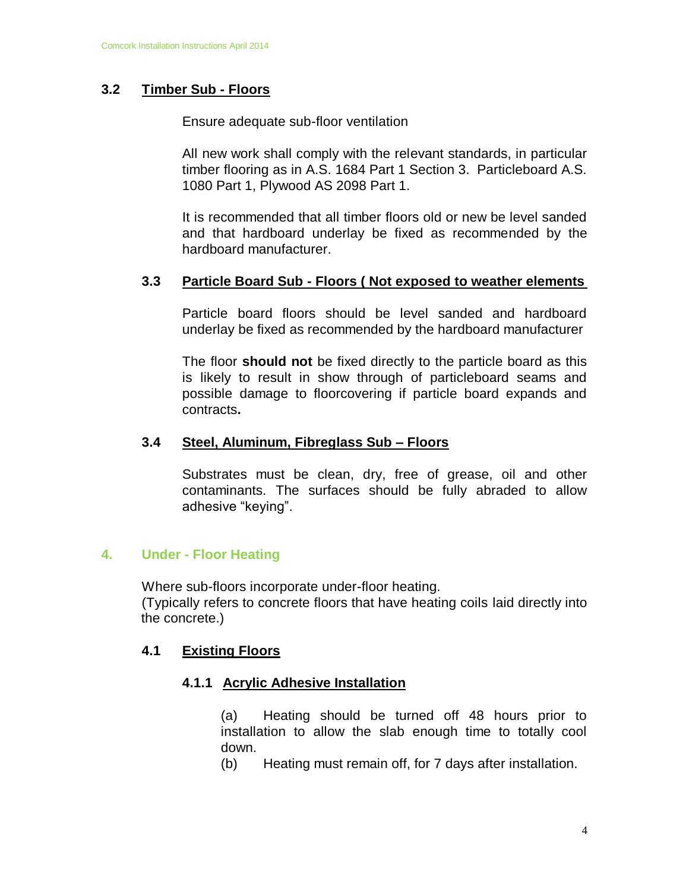#### **3.2 Timber Sub - Floors**

Ensure adequate sub-floor ventilation

All new work shall comply with the relevant standards, in particular timber flooring as in A.S. 1684 Part 1 Section 3. Particleboard A.S. 1080 Part 1, Plywood AS 2098 Part 1.

It is recommended that all timber floors old or new be level sanded and that hardboard underlay be fixed as recommended by the hardboard manufacturer.

#### **3.3 Particle Board Sub - Floors ( Not exposed to weather elements**

Particle board floors should be level sanded and hardboard underlay be fixed as recommended by the hardboard manufacturer

The floor **should not** be fixed directly to the particle board as this is likely to result in show through of particleboard seams and possible damage to floorcovering if particle board expands and contracts**.**

#### **3.4 Steel, Aluminum, Fibreglass Sub – Floors**

Substrates must be clean, dry, free of grease, oil and other contaminants. The surfaces should be fully abraded to allow adhesive "keying".

#### **4. Under - Floor Heating**

Where sub-floors incorporate under-floor heating. (Typically refers to concrete floors that have heating coils laid directly into the concrete.)

#### **4.1 Existing Floors**

#### **4.1.1 Acrylic Adhesive Installation**

(a) Heating should be turned off 48 hours prior to installation to allow the slab enough time to totally cool down.

(b) Heating must remain off, for 7 days after installation.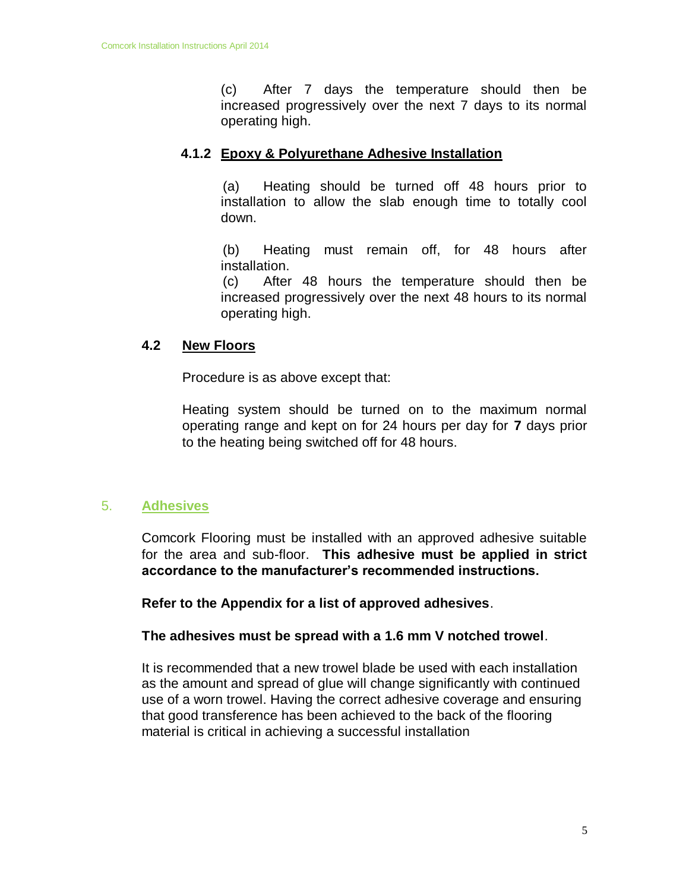(c) After 7 days the temperature should then be increased progressively over the next 7 days to its normal operating high.

#### **4.1.2 Epoxy & Polyurethane Adhesive Installation**

(a) Heating should be turned off 48 hours prior to installation to allow the slab enough time to totally cool down.

(b) Heating must remain off, for 48 hours after installation.

(c) After 48 hours the temperature should then be increased progressively over the next 48 hours to its normal operating high.

#### **4.2 New Floors**

Procedure is as above except that:

Heating system should be turned on to the maximum normal operating range and kept on for 24 hours per day for **7** days prior to the heating being switched off for 48 hours.

#### 5. **Adhesives**

Comcork Flooring must be installed with an approved adhesive suitable for the area and sub-floor. **This adhesive must be applied in strict accordance to the manufacturer's recommended instructions.**

**Refer to the Appendix for a list of approved adhesives**.

#### **The adhesives must be spread with a 1.6 mm V notched trowel**.

It is recommended that a new trowel blade be used with each installation as the amount and spread of glue will change significantly with continued use of a worn trowel. Having the correct adhesive coverage and ensuring that good transference has been achieved to the back of the flooring material is critical in achieving a successful installation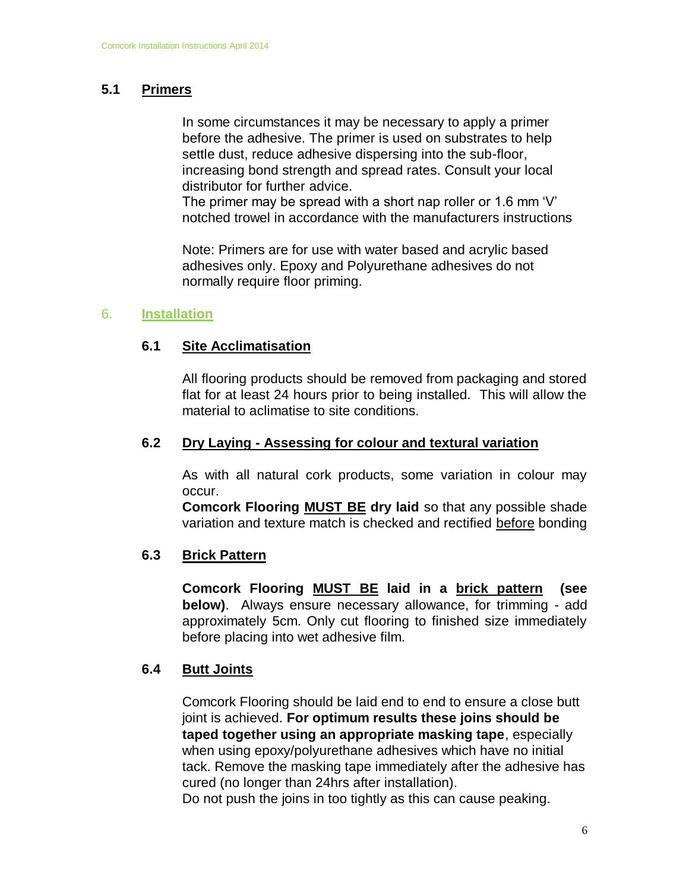# **5.1 Primers**

In some circumstances it may be necessary to apply a primer before the adhesive. The primer is used on substrates to help settle dust, reduce adhesive dispersing into the sub-floor, increasing bond strength and spread rates. Consult your local distributor for further advice.

The primer may be spread with a short nap roller or 1.6 mm 'V' notched trowel in accordance with the manufacturers instructions

Note: Primers are for use with water based and acrylic based adhesives only. Epoxy and Polyurethane adhesives do not normally require floor priming.

#### 6. **Installation**

#### **6.1 Site Acclimatisation**

All flooring products should be removed from packaging and stored flat for at least 24 hours prior to being installed. This will allow the material to aclimatise to site conditions.

#### **6.2 Dry Laying - Assessing for colour and textural variation**

As with all natural cork products, some variation in colour may occur.

**Comcork Flooring MUST BE dry laid** so that any possible shade variation and texture match is checked and rectified before bonding

#### **6.3 Brick Pattern**

**Comcork Flooring MUST BE laid in a brick pattern (see below)**. Always ensure necessary allowance, for trimming - add approximately 5cm. Only cut flooring to finished size immediately before placing into wet adhesive film.

#### **6.4 Butt Joints**

Comcork Flooring should be laid end to end to ensure a close butt joint is achieved. **For optimum results these joins should be taped together using an appropriate masking tape**, especially when using epoxy/polyurethane adhesives which have no initial tack. Remove the masking tape immediately after the adhesive has cured (no longer than 24hrs after installation).

Do not push the joins in too tightly as this can cause peaking.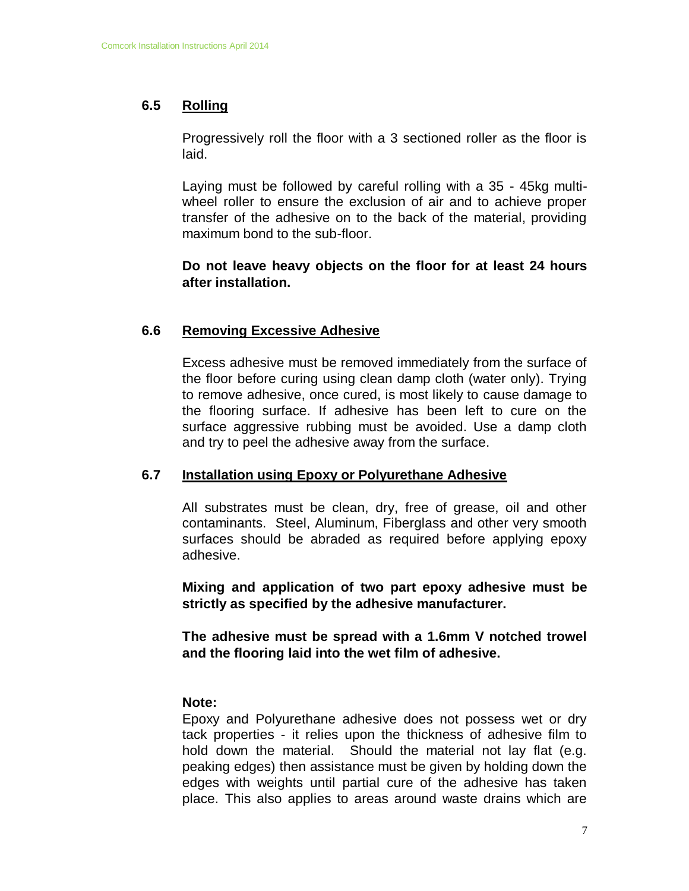## **6.5 Rolling**

Progressively roll the floor with a 3 sectioned roller as the floor is laid.

Laying must be followed by careful rolling with a 35 - 45kg multiwheel roller to ensure the exclusion of air and to achieve proper transfer of the adhesive on to the back of the material, providing maximum bond to the sub-floor.

**Do not leave heavy objects on the floor for at least 24 hours after installation.**

#### **6.6 Removing Excessive Adhesive**

Excess adhesive must be removed immediately from the surface of the floor before curing using clean damp cloth (water only). Trying to remove adhesive, once cured, is most likely to cause damage to the flooring surface. If adhesive has been left to cure on the surface aggressive rubbing must be avoided. Use a damp cloth and try to peel the adhesive away from the surface.

#### **6.7 Installation using Epoxy or Polyurethane Adhesive**

All substrates must be clean, dry, free of grease, oil and other contaminants. Steel, Aluminum, Fiberglass and other very smooth surfaces should be abraded as required before applying epoxy adhesive.

**Mixing and application of two part epoxy adhesive must be strictly as specified by the adhesive manufacturer.** 

**The adhesive must be spread with a 1.6mm V notched trowel and the flooring laid into the wet film of adhesive.**

#### **Note:**

Epoxy and Polyurethane adhesive does not possess wet or dry tack properties - it relies upon the thickness of adhesive film to hold down the material. Should the material not lay flat (e.g. peaking edges) then assistance must be given by holding down the edges with weights until partial cure of the adhesive has taken place. This also applies to areas around waste drains which are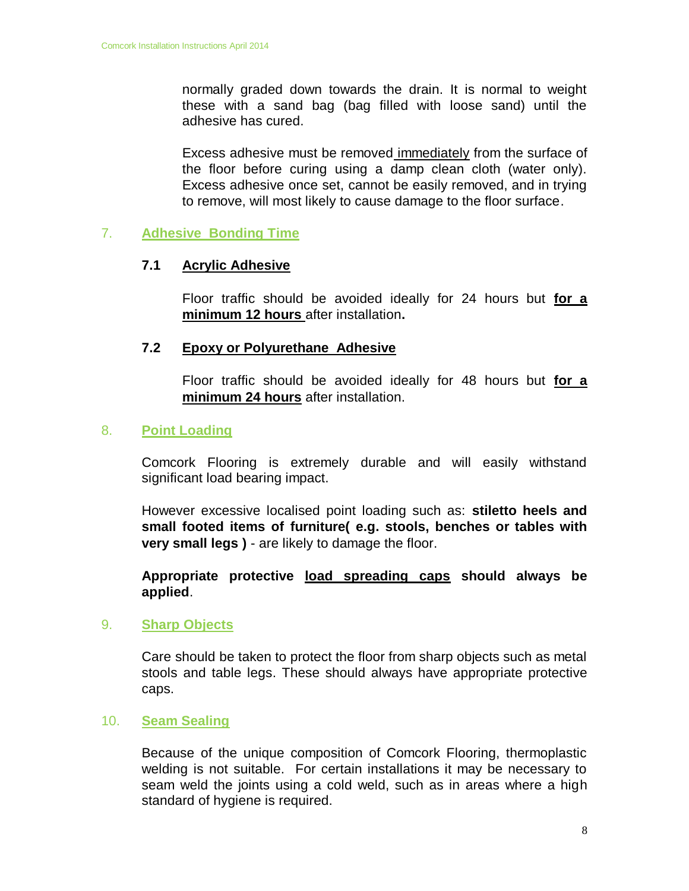normally graded down towards the drain. It is normal to weight these with a sand bag (bag filled with loose sand) until the adhesive has cured.

Excess adhesive must be removed immediately from the surface of the floor before curing using a damp clean cloth (water only). Excess adhesive once set, cannot be easily removed, and in trying to remove, will most likely to cause damage to the floor surface.

#### 7. **Adhesive Bonding Time**

#### **7.1 Acrylic Adhesive**

Floor traffic should be avoided ideally for 24 hours but **for a minimum 12 hours** after installation**.**

#### **7.2 Epoxy or Polyurethane Adhesive**

Floor traffic should be avoided ideally for 48 hours but **for a minimum 24 hours** after installation.

#### 8. **Point Loading**

Comcork Flooring is extremely durable and will easily withstand significant load bearing impact.

However excessive localised point loading such as: **stiletto heels and small footed items of furniture( e.g. stools, benches or tables with very small legs )** - are likely to damage the floor.

**Appropriate protective load spreading caps should always be applied**.

#### 9. **Sharp Objects**

Care should be taken to protect the floor from sharp objects such as metal stools and table legs. These should always have appropriate protective caps.

#### 10. **Seam Sealing**

Because of the unique composition of Comcork Flooring, thermoplastic welding is not suitable. For certain installations it may be necessary to seam weld the joints using a cold weld, such as in areas where a high standard of hygiene is required.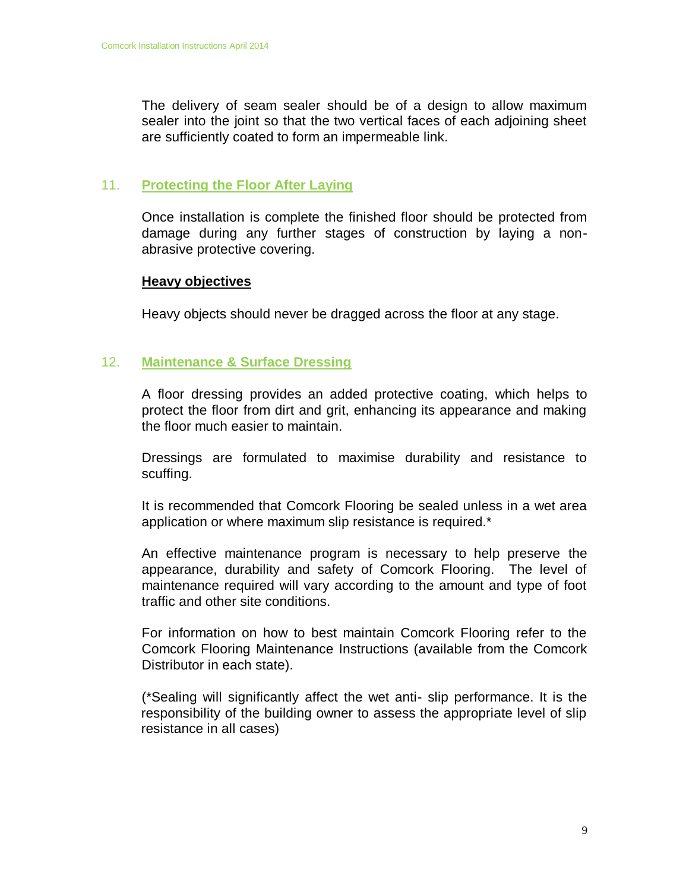The delivery of seam sealer should be of a design to allow maximum sealer into the joint so that the two vertical faces of each adjoining sheet are sufficiently coated to form an impermeable link.

#### 11. **Protecting the Floor After Laying**

Once installation is complete the finished floor should be protected from damage during any further stages of construction by laying a nonabrasive protective covering.

#### **Heavy objectives**

Heavy objects should never be dragged across the floor at any stage.

#### 12. **Maintenance & Surface Dressing**

A floor dressing provides an added protective coating, which helps to protect the floor from dirt and grit, enhancing its appearance and making the floor much easier to maintain.

Dressings are formulated to maximise durability and resistance to scuffing.

It is recommended that Comcork Flooring be sealed unless in a wet area application or where maximum slip resistance is required.\*

An effective maintenance program is necessary to help preserve the appearance, durability and safety of Comcork Flooring. The level of maintenance required will vary according to the amount and type of foot traffic and other site conditions.

For information on how to best maintain Comcork Flooring refer to the Comcork Flooring Maintenance Instructions (available from the Comcork Distributor in each state).

(\*Sealing will significantly affect the wet anti- slip performance. It is the responsibility of the building owner to assess the appropriate level of slip resistance in all cases)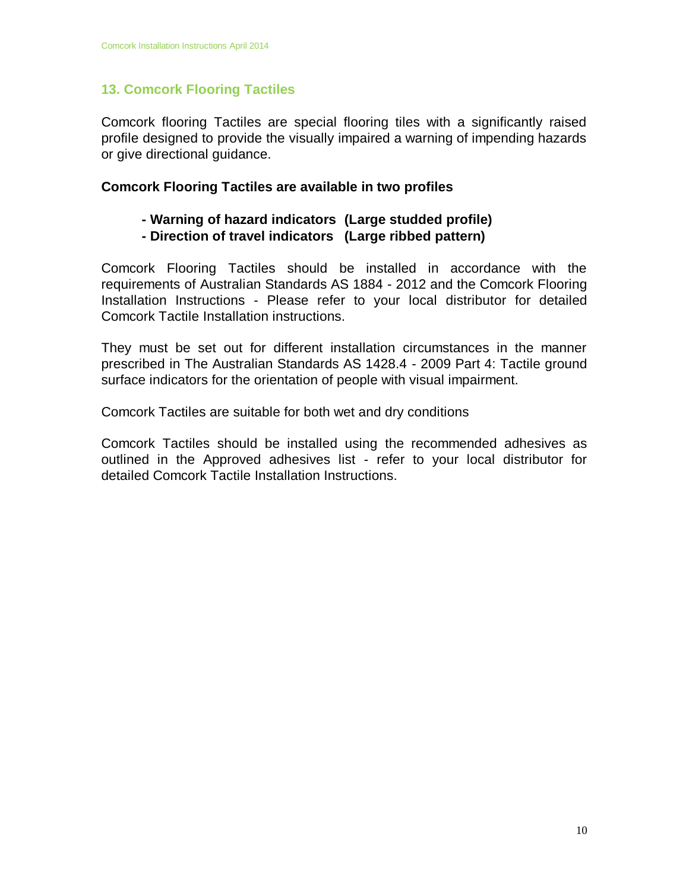# **13. Comcork Flooring Tactiles**

Comcork flooring Tactiles are special flooring tiles with a significantly raised profile designed to provide the visually impaired a warning of impending hazards or give directional guidance.

#### **Comcork Flooring Tactiles are available in two profiles**

# **- Warning of hazard indicators (Large studded profile)**

**- Direction of travel indicators (Large ribbed pattern)**

Comcork Flooring Tactiles should be installed in accordance with the requirements of Australian Standards AS 1884 - 2012 and the Comcork Flooring Installation Instructions - Please refer to your local distributor for detailed Comcork Tactile Installation instructions.

They must be set out for different installation circumstances in the manner prescribed in The Australian Standards AS 1428.4 - 2009 Part 4: Tactile ground surface indicators for the orientation of people with visual impairment.

Comcork Tactiles are suitable for both wet and dry conditions

Comcork Tactiles should be installed using the recommended adhesives as outlined in the Approved adhesives list - refer to your local distributor for detailed Comcork Tactile Installation Instructions.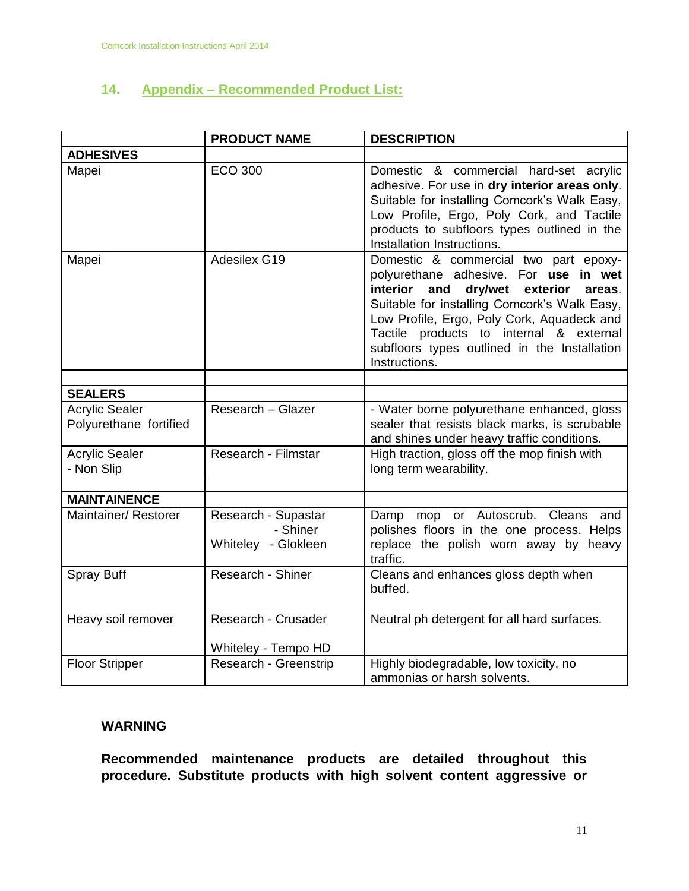# **14. Appendix – Recommended Product List:**

|                                                 | <b>PRODUCT NAME</b>                                    | <b>DESCRIPTION</b>                                                                                                                                                                                                                                                                                                                           |  |  |
|-------------------------------------------------|--------------------------------------------------------|----------------------------------------------------------------------------------------------------------------------------------------------------------------------------------------------------------------------------------------------------------------------------------------------------------------------------------------------|--|--|
| <b>ADHESIVES</b>                                |                                                        |                                                                                                                                                                                                                                                                                                                                              |  |  |
| Mapei                                           | <b>ECO 300</b>                                         | Domestic & commercial hard-set acrylic<br>adhesive. For use in dry interior areas only.<br>Suitable for installing Comcork's Walk Easy,<br>Low Profile, Ergo, Poly Cork, and Tactile<br>products to subfloors types outlined in the<br>Installation Instructions.                                                                            |  |  |
| Mapei                                           | Adesilex G19                                           | Domestic & commercial two part epoxy-<br>polyurethane adhesive. For use in wet<br>interior<br>and<br>dry/wet<br>exterior<br>areas.<br>Suitable for installing Comcork's Walk Easy,<br>Low Profile, Ergo, Poly Cork, Aquadeck and<br>Tactile products to internal & external<br>subfloors types outlined in the Installation<br>Instructions. |  |  |
| <b>SEALERS</b>                                  |                                                        |                                                                                                                                                                                                                                                                                                                                              |  |  |
| <b>Acrylic Sealer</b><br>Polyurethane fortified | Research - Glazer                                      | - Water borne polyurethane enhanced, gloss<br>sealer that resists black marks, is scrubable<br>and shines under heavy traffic conditions.                                                                                                                                                                                                    |  |  |
| <b>Acrylic Sealer</b><br>- Non Slip             | Research - Filmstar                                    | High traction, gloss off the mop finish with<br>long term wearability.                                                                                                                                                                                                                                                                       |  |  |
| <b>MAINTAINENCE</b>                             |                                                        |                                                                                                                                                                                                                                                                                                                                              |  |  |
| Maintainer/ Restorer                            | Research - Supastar<br>- Shiner<br>Whiteley - Glokleen | Damp mop or Autoscrub. Cleans and<br>polishes floors in the one process. Helps<br>replace the polish worn away by heavy<br>traffic.                                                                                                                                                                                                          |  |  |
| Spray Buff                                      | Research - Shiner                                      | Cleans and enhances gloss depth when<br>buffed.                                                                                                                                                                                                                                                                                              |  |  |
| Heavy soil remover                              | Research - Crusader<br>Whiteley - Tempo HD             | Neutral ph detergent for all hard surfaces.                                                                                                                                                                                                                                                                                                  |  |  |
| <b>Floor Stripper</b>                           | Research - Greenstrip                                  | Highly biodegradable, low toxicity, no<br>ammonias or harsh solvents.                                                                                                                                                                                                                                                                        |  |  |

#### **WARNING**

**Recommended maintenance products are detailed throughout this procedure. Substitute products with high solvent content aggressive or**